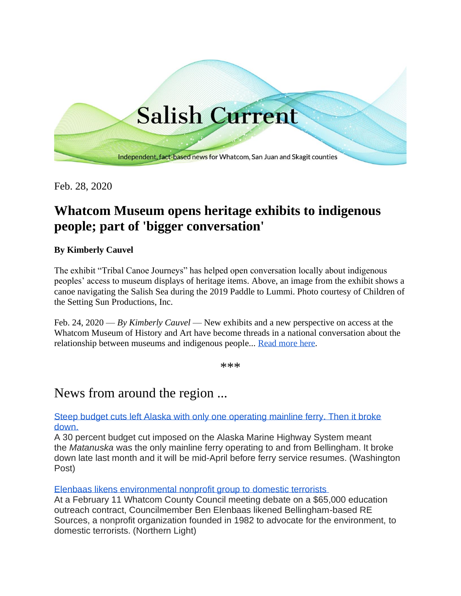

Feb. 28, 2020

# **Whatcom Museum opens heritage exhibits to indigenous people; part of 'bigger conversation'**

### **By Kimberly Cauvel**

The exhibit "Tribal Canoe Journeys" has helped open conversation locally about indigenous peoples' access to museum displays of heritage items. Above, an image from the exhibit shows a canoe navigating the Salish Sea during the 2019 Paddle to Lummi. Photo courtesy of Children of the Setting Sun Productions, Inc.

Feb. 24, 2020 — *By Kimberly Cauvel* — New exhibits and a new perspective on access at the Whatcom Museum of History and Art have become threads in a national conversation about the relationship between museums and indigenous people... [Read more here.](https://salish-current.org/)

\*\*\*

## News from around the region ...

[Steep budget cuts left Alaska with only one operating mainline ferry. Then it broke](https://www.washingtonpost.com/local/trafficandcommuting/steep-budget-cuts-left-alaska-with-only-one-operating-mainline-ferry-then-it-broke-down/2020/02/23/56f7107e-4f4c-11ea-bf44-f5043eb3918a_story.html)  [down.](https://www.washingtonpost.com/local/trafficandcommuting/steep-budget-cuts-left-alaska-with-only-one-operating-mainline-ferry-then-it-broke-down/2020/02/23/56f7107e-4f4c-11ea-bf44-f5043eb3918a_story.html)

A 30 percent budget cut imposed on the Alaska Marine Highway System meant the *Matanuska* was the only mainline ferry operating to and from Bellingham. It broke down late last month and it will be mid-April before ferry service resumes. (Washington Post)

[Elenbaas likens environmental nonprofit group to domestic terrorists](https://www.thenorthernlight.com/stories/elenbaas-likens-environmental-nonprofit-group-to-domestic-terrorists,9718?)

At a February 11 Whatcom County Council meeting debate on a \$65,000 education outreach contract, Councilmember Ben Elenbaas likened Bellingham-based RE Sources, a nonprofit organization founded in 1982 to advocate for the environment, to domestic terrorists. (Northern Light)